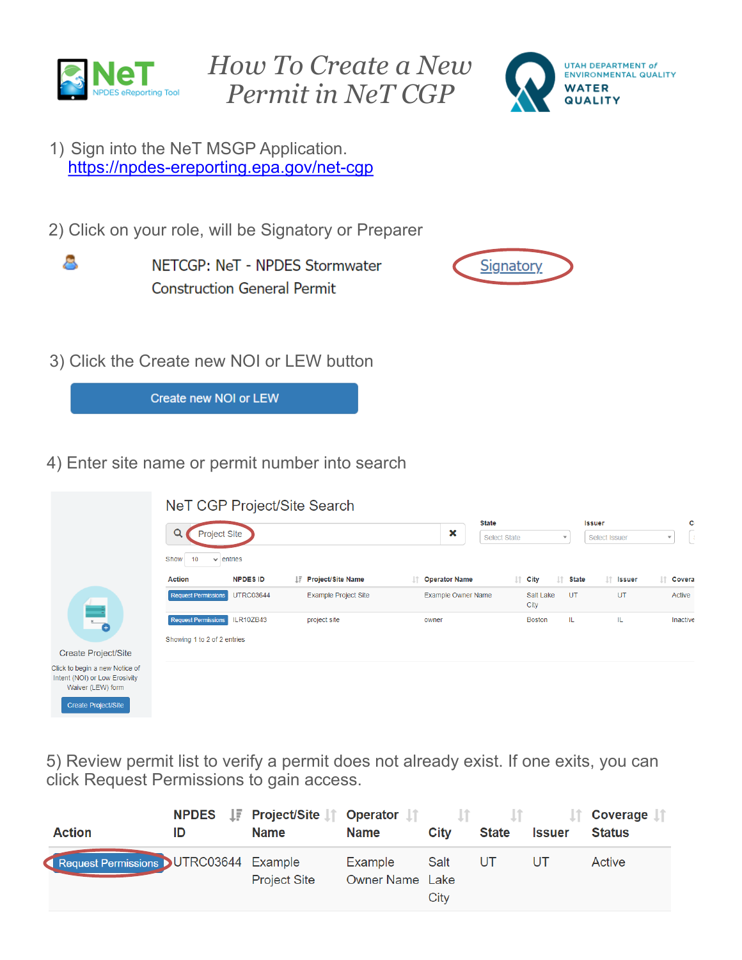



1) Sign into the NeT MSGP Application. https://npdes-[ereporting.epa.gov/net](https://npdes-ereporting.epa.gov/net-cgp)-cgp

2) Click on your role, will be Signatory or Preparer

8

NETCGP: NeT - NPDES Stormwater **Construction General Permit** 



3) Click the Create new NOI or LEW button

Create new NOI or LEW

4) Enter site name or permit number into search

|                                                                                      |                                       |                  | NeT CGP Project/Site Search |                             |                                                |                                                                         |                  |
|--------------------------------------------------------------------------------------|---------------------------------------|------------------|-----------------------------|-----------------------------|------------------------------------------------|-------------------------------------------------------------------------|------------------|
|                                                                                      | Q<br><b>Project Site</b>              |                  |                             | <b>State</b><br>×           | <b>Select State</b><br>$\overline{\mathbf{v}}$ | C)<br><b>Issuer</b><br>L\$.<br>Select Issuer<br>$\overline{\mathbf{v}}$ |                  |
|                                                                                      | Show<br>10<br>entries<br>$\checkmark$ |                  |                             |                             |                                                |                                                                         |                  |
|                                                                                      | <b>Action</b>                         | <b>NPDES ID</b>  | IF Project/Site Name        | <b>Operator Name</b><br>lî. | Jî.<br>$\  \cdot \ $ City                      | It Issuer<br>State                                                      | <b>If</b> Covera |
|                                                                                      | <b>Request Permissions</b>            | <b>UTRC03644</b> | <b>Example Project Site</b> | <b>Example Owner Name</b>   | Salt Lake<br>City                              | UT<br>UT                                                                | Active           |
| $\overline{\bullet}$                                                                 | <b>Request Permissions</b>            | ILR10ZB43        | project site                | owner                       | <b>Boston</b>                                  | IL.<br>IL.                                                              | <b>Inactive</b>  |
|                                                                                      | Showing 1 to 2 of 2 entries           |                  |                             |                             |                                                |                                                                         |                  |
| <b>Create Project/Site</b>                                                           |                                       |                  |                             |                             |                                                |                                                                         |                  |
| Click to begin a new Notice of<br>Intent (NOI) or Low Erosivity<br>Waiver (LEW) form |                                       |                  |                             |                             |                                                |                                                                         |                  |
| Create Droject/Site                                                                  |                                       |                  |                             |                             |                                                |                                                                         |                  |

5) Review permit list to verify a permit does not already exist. If one exits, you can click Request Permissions to gain access.

| <b>Action</b>                         | ID | <b>NPDES</b> IF Project/Site <b>If</b> Operator If If<br><b>Name</b> | <b>Name</b>                | City         | <b>State</b> | Issuer | Coverage<br><b>Status</b> |
|---------------------------------------|----|----------------------------------------------------------------------|----------------------------|--------------|--------------|--------|---------------------------|
| Request Permissions UTRC03644 Example |    | <b>Project Site</b>                                                  | Example<br>Owner Name Lake | Salt<br>City | UT           |        | Active                    |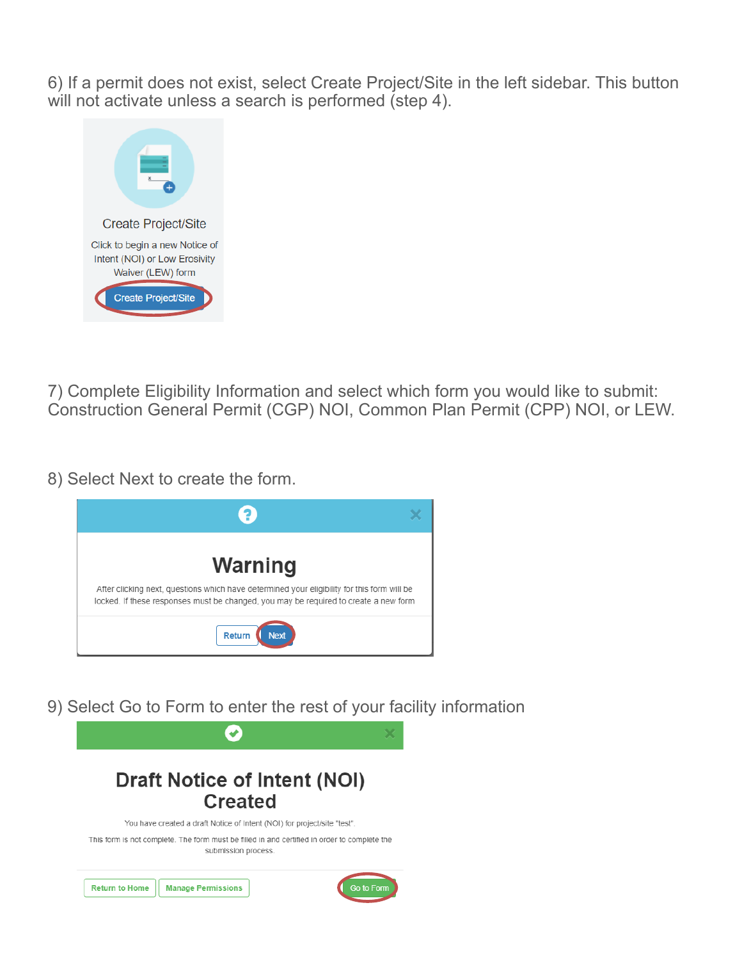6) If a permit does not exist, select Create Project/Site in the left sidebar. This button will not activate unless a search is performed (step 4).



7) Complete Eligibility Information and select which form you would like to submit: Construction General Permit (CGP) NOI, Common Plan Permit (CPP) NOI, or LEW.

8) Select Next to create the form.



9) Select Go to Form to enter the rest of your facility information